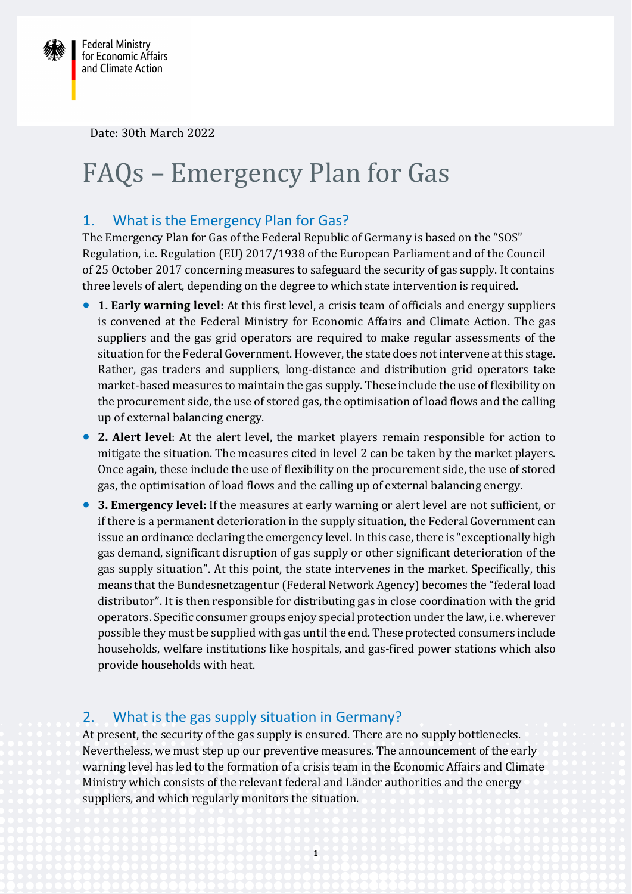

Date: 30th March 2022

# FAQs – Emergency Plan for Gas

#### 1. What is the Emergency Plan for Gas?

The Emergency Plan for Gas of the Federal Republic of Germany is based on the "SOS" Regulation, i.e. Regulation (EU) 2017/1938 of the European Parliament and of the Council of 25 October 2017 concerning measures to safeguard the security of gas supply. It contains three levels of alert, depending on the degree to which state intervention is required.

- **1. Early warning level:** At this first level, a crisis team of officials and energy suppliers is convened at the Federal Ministry for Economic Affairs and Climate Action. The gas suppliers and the gas grid operators are required to make regular assessments of the situation for the Federal Government. However, the state does not intervene at this stage. Rather, gas traders and suppliers, long-distance and distribution grid operators take market-based measures to maintain the gas supply. These include the use of flexibility on the procurement side, the use of stored gas, the optimisation of load flows and the calling up of external balancing energy.
- **2. Alert level**: At the alert level, the market players remain responsible for action to mitigate the situation. The measures cited in level 2 can be taken by the market players. Once again, these include the use of flexibility on the procurement side, the use of stored gas, the optimisation of load flows and the calling up of external balancing energy.
- **3. Emergency level:** If the measures at early warning or alert level are not sufficient, or if there is a permanent deterioration in the supply situation, the Federal Government can issue an ordinance declaring the emergency level. In this case, there is "exceptionally high gas demand, significant disruption of gas supply or other significant deterioration of the gas supply situation". At this point, the state intervenes in the market. Specifically, this means that the Bundesnetzagentur (Federal Network Agency) becomes the "federal load distributor". It is then responsible for distributing gas in close coordination with the grid operators. Specific consumer groups enjoy special protection under the law, i.e. wherever possible they must be supplied with gas until the end. These protected consumers include households, welfare institutions like hospitals, and gas-fired power stations which also provide households with heat.

#### 2. What is the gas supply situation in Germany?

At present, the security of the gas supply is ensured. There are no supply bottlenecks. Nevertheless, we must step up our preventive measures. The announcement of the early warning level has led to the formation of a crisis team in the Economic Affairs and Climate Ministry which consists of the relevant federal and Länder authorities and the energy suppliers, and which regularly monitors the situation.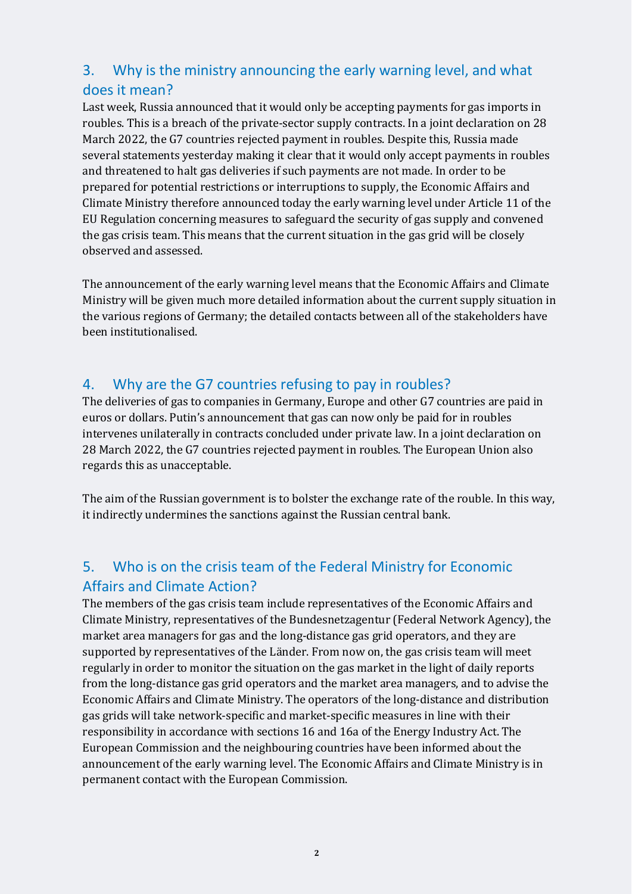# 3. Why is the ministry announcing the early warning level, and what does it mean?

Last week, Russia announced that it would only be accepting payments for gas imports in roubles. This is a breach of the private-sector supply contracts. In a joint declaration on 28 March 2022, the G7 countries rejected payment in roubles. Despite this, Russia made several statements yesterday making it clear that it would only accept payments in roubles and threatened to halt gas deliveries if such payments are not made. In order to be prepared for potential restrictions or interruptions to supply, the Economic Affairs and Climate Ministry therefore announced today the early warning level under Article 11 of the EU Regulation concerning measures to safeguard the security of gas supply and convened the gas crisis team. This means that the current situation in the gas grid will be closely observed and assessed.

The announcement of the early warning level means that the Economic Affairs and Climate Ministry will be given much more detailed information about the current supply situation in the various regions of Germany; the detailed contacts between all of the stakeholders have been institutionalised.

#### 4. Why are the G7 countries refusing to pay in roubles?

The deliveries of gas to companies in Germany, Europe and other G7 countries are paid in euros or dollars. Putin's announcement that gas can now only be paid for in roubles intervenes unilaterally in contracts concluded under private law. In a joint declaration on 28 March 2022, the G7 countries rejected payment in roubles. The European Union also regards this as unacceptable.

The aim of the Russian government is to bolster the exchange rate of the rouble. In this way, it indirectly undermines the sanctions against the Russian central bank.

# 5. Who is on the crisis team of the Federal Ministry for Economic Affairs and Climate Action?

The members of the gas crisis team include representatives of the Economic Affairs and Climate Ministry, representatives of the Bundesnetzagentur (Federal Network Agency), the market area managers for gas and the long-distance gas grid operators, and they are supported by representatives of the Länder. From now on, the gas crisis team will meet regularly in order to monitor the situation on the gas market in the light of daily reports from the long-distance gas grid operators and the market area managers, and to advise the Economic Affairs and Climate Ministry. The operators of the long-distance and distribution gas grids will take network-specific and market-specific measures in line with their responsibility in accordance with sections 16 and 16a of the Energy Industry Act. The European Commission and the neighbouring countries have been informed about the announcement of the early warning level. The Economic Affairs and Climate Ministry is in permanent contact with the European Commission.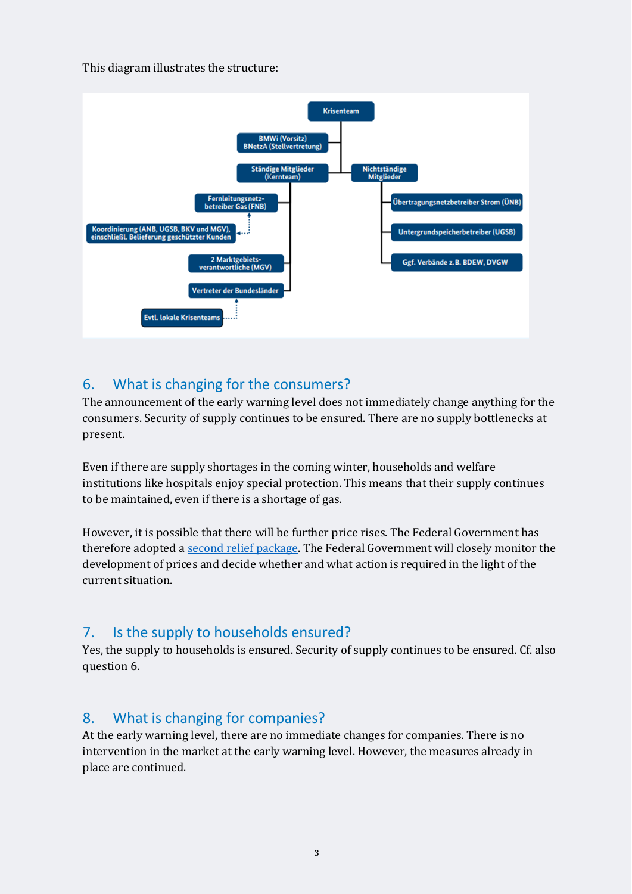This diagram illustrates the structure:



#### 6. What is changing for the consumers?

The announcement of the early warning level does not immediately change anything for the consumers. Security of supply continues to be ensured. There are no supply bottlenecks at present.

Even if there are supply shortages in the coming winter, households and welfare institutions like hospitals enjoy special protection. This means that their supply continues to be maintained, even if there is a shortage of gas.

However, it is possible that there will be further price rises. The Federal Government has therefore adopted [a second relief package.](https://www.bmwi.de/Redaktion/DE/Publikationen/Energie/massnahmenpaket-des-bundes-zum-umgang-mit-den-hohen-energiekosten.html) The Federal Government will closely monitor the development of prices and decide whether and what action is required in the light of the current situation.

## 7. Is the supply to households ensured?

Yes, the supply to households is ensured. Security of supply continues to be ensured. Cf. also question 6.

## 8. What is changing for companies?

At the early warning level, there are no immediate changes for companies. There is no intervention in the market at the early warning level. However, the measures already in place are continued.